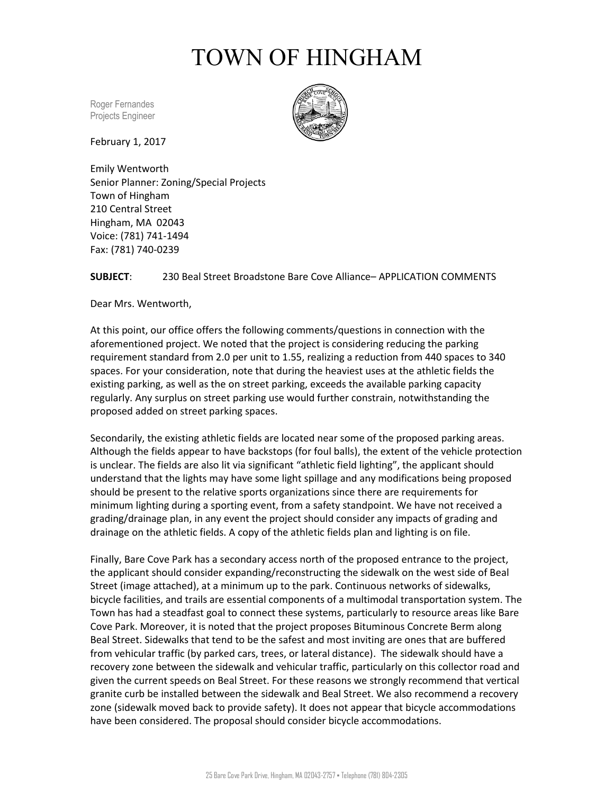## TOWN OF HINGHAM

Roger Fernandes Projects Engineer

February 1, 2017



Emily Wentworth Senior Planner: Zoning/Special Projects Town of Hingham 210 Central Street Hingham, MA 02043 Voice: (781) 741-1494 Fax: (781) 740-0239

## **SUBJECT**: 230 Beal Street Broadstone Bare Cove Alliance– APPLICATION COMMENTS

Dear Mrs. Wentworth,

At this point, our office offers the following comments/questions in connection with the aforementioned project. We noted that the project is considering reducing the parking requirement standard from 2.0 per unit to 1.55, realizing a reduction from 440 spaces to 340 spaces. For your consideration, note that during the heaviest uses at the athletic fields the existing parking, as well as the on street parking, exceeds the available parking capacity regularly. Any surplus on street parking use would further constrain, notwithstanding the proposed added on street parking spaces.

Secondarily, the existing athletic fields are located near some of the proposed parking areas. Although the fields appear to have backstops (for foul balls), the extent of the vehicle protection is unclear. The fields are also lit via significant "athletic field lighting", the applicant should understand that the lights may have some light spillage and any modifications being proposed should be present to the relative sports organizations since there are requirements for minimum lighting during a sporting event, from a safety standpoint. We have not received a grading/drainage plan, in any event the project should consider any impacts of grading and drainage on the athletic fields. A copy of the athletic fields plan and lighting is on file.

Finally, Bare Cove Park has a secondary access north of the proposed entrance to the project, the applicant should consider expanding/reconstructing the sidewalk on the west side of Beal Street (image attached), at a minimum up to the park. Continuous networks of sidewalks, bicycle facilities, and trails are essential components of a multimodal transportation system. The Town has had a steadfast goal to connect these systems, particularly to resource areas like Bare Cove Park. Moreover, it is noted that the project proposes Bituminous Concrete Berm along Beal Street. Sidewalks that tend to be the safest and most inviting are ones that are buffered from vehicular traffic (by parked cars, trees, or lateral distance). The sidewalk should have a recovery zone between the sidewalk and vehicular traffic, particularly on this collector road and given the current speeds on Beal Street. For these reasons we strongly recommend that vertical granite curb be installed between the sidewalk and Beal Street. We also recommend a recovery zone (sidewalk moved back to provide safety). It does not appear that bicycle accommodations have been considered. The proposal should consider bicycle accommodations.